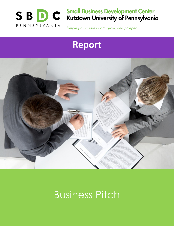

# **Small Business Development Center<br>Kutztown University of Pennsylvania**

Helping businesses start, grow, and prosper.

## **Report**



## Business Pitch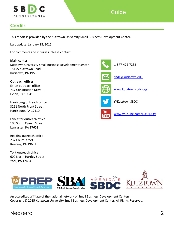

## Guide

## <span id="page-1-0"></span>**Credits**

This report is provided by the Kutztown University Small Business Development Center.

Last update: January 18, 2015

For comments and inquiries, please contact:

**Main center** Kutztown University Small Business Development Center 15155 Kutztown Road Kutztown, PA 19530

**Outreach offices** Exton outreach office 737 Constitution Drive Exton, PA 19341

Harrisburg outreach office 3211 North Front Street Harrisburg, PA 17110

Lancaster outreach office 100 South Queen Street Lancaster, PA 17608

Reading outreach office 237 Court Street Reading, PA 19601

York outreach office 600 North Hartley Street York, PA 17404





An accredited affiliate of the national network of Small Business Development Centers. Copyright © 2015 Kutztown University Small Business Development Center. All Rights Reserved.

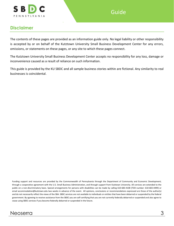

### <span id="page-2-0"></span>**Disclaimer**

The contents of these pages are provided as an information guide only. No legal liability or other responsibility is accepted by or on behalf of the Kutztown University Small Business Development Center for any errors, omissions, or statements on these pages, or any site to which these pages connect.

The Kutztown University Small Business Development Center accepts no responsibility for any loss, damage or inconvenience caused as a result of reliance on such information.

This guide is provided by the KU SBDC and all sample business stories within are fictional. Any similarity to real businesses is coincidental.

Funding support and resources are provided by the Commonwealth of Pennsylvania through the Department of Community and Economic Development; through a cooperative agreement with the U.S. Small Business Administration, and through support from Kutztown University. All services are extended to the public on a non-discriminatory basis. Special arrangements for persons with disabilities can be made by calling 610-683-4108 (TDD number: 610-683-4499) or email accommodation@kutztown.edu two weeks in advance of the event. All opinions, conclusions or recommendations expressed are those of the author(s) and do not necessarily reflect the views of the SBA. SBDC services are not available to individuals or entities that have been debarred or suspended by the federal government. By agreeing to receive assistance from the SBDC you are self-certifying that you are not currently federally debarred or suspended and also agree to cease using SBDC services if you become federally debarred or suspended in the future.

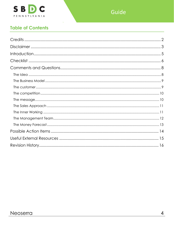

## **Table of Contents**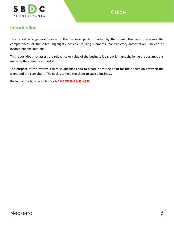

### <span id="page-4-0"></span>**Introduction**

This report is a general review of the business pitch provided by the client. This report assesses the completeness of the pitch, highlights possible missing elements, contradictory information, unclear or incomplete explanations.

This report does not assess the relevancy or value of the business idea, but it might challenge the assumptions made by the client to support it.

The purpose of this review is to raise questions and to create a starting point for the discussion between the client and the consultant. The goal is to help the client to start a business.

Review of the business pitch for **NAME OF THE BUSINESS.**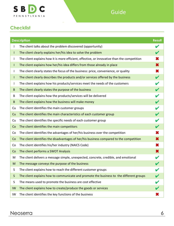

## <span id="page-5-0"></span>**Checklist**

|          | <b>Description</b><br><b>Result</b>                                                         |   |  |  |  |  |
|----------|---------------------------------------------------------------------------------------------|---|--|--|--|--|
|          | The client talks about the problem discovered (opportunity)                                 |   |  |  |  |  |
| I        | The client clearly explains her/his idea to solve the problem                               |   |  |  |  |  |
| I        | The client explains how it is more efficient, effective, or innovative than the competition | × |  |  |  |  |
| L        | The client explains how her/his idea differs from those already in place                    | × |  |  |  |  |
| I        | The client clearly states the focus of the business: price, convenience, or quality         | × |  |  |  |  |
| L        | The client clearly describes the products and/or services offered by the business           | V |  |  |  |  |
| I        | The client explains how his products/services meet the needs of the customers               |   |  |  |  |  |
| B        | The client clearly states the purpose of the business                                       |   |  |  |  |  |
| B        | The client explains how the products/services will be delivered                             |   |  |  |  |  |
| $\sf{B}$ | The client explains how the business will make money                                        |   |  |  |  |  |
| Cu       | The client identifies the main customer groups                                              |   |  |  |  |  |
| Cu       | The client identifies the main characteristics of each customer group                       |   |  |  |  |  |
| Cu       | The client identifies the specific needs of each customer group                             |   |  |  |  |  |
| Co       | The client identifies the main competitors                                                  |   |  |  |  |  |
| Co       | The client identifies the advantages of her/his business over the competition               | × |  |  |  |  |
| Co       | The client identifies the disadvantages of her/his business compared to the competition     | × |  |  |  |  |
| Co       | The client identifies his/her industry (NAICS Code)                                         | × |  |  |  |  |
| Co       | The client performs a SWOT Analysis                                                         | × |  |  |  |  |
| M        | The client delivers a message simple, unexpected, concrete, credible, and emotional         |   |  |  |  |  |
| M        | The message conveys the purpose of the business                                             |   |  |  |  |  |
| S        | The client explains how to reach the different customer groups                              |   |  |  |  |  |
| S        | The client explains how to communicate and promote the business to the different groups     |   |  |  |  |  |
| S        | The means used to promote the business are cost effective                                   |   |  |  |  |  |
| IW       | The client explains how to create/produce the goods or services                             |   |  |  |  |  |
| IW       | The client identifies the key functions of the business                                     |   |  |  |  |  |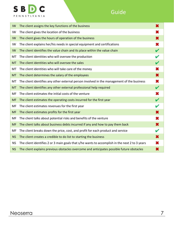

## Guide

| IW.       | The client assigns the key functions of the business                                           | × |  |  |
|-----------|------------------------------------------------------------------------------------------------|---|--|--|
| IW        | The client gives the location of the business                                                  | X |  |  |
| IW        | The client gives the hours of operation of the business                                        | × |  |  |
| IW        | The client explains her/his needs in special equipment and certifications                      | × |  |  |
| IW        | The client identifies the value chain and its place within the value chain                     | V |  |  |
| МT        | The client identities who will oversee the production                                          |   |  |  |
| <b>MT</b> | The client identities who will oversee the sales                                               |   |  |  |
| МT        | The client identities who will take care of the money                                          |   |  |  |
| <b>MT</b> | The client determines the salary of the employees                                              | × |  |  |
| MT        | The client identifies any other external person involved in the management of the business     | × |  |  |
| <b>MT</b> | The client identifies any other external professional help required                            | V |  |  |
| MF        | The client estimates the initial costs of the venture                                          | × |  |  |
| <b>MF</b> | The client estimates the operating costs incurred for the first year                           |   |  |  |
| MF        | The client estimates revenues for the first year                                               |   |  |  |
| <b>MF</b> | The client estimates profits for the first year                                                | × |  |  |
| MF        | The client talks about potential risks and benefits of the venture                             | × |  |  |
| <b>MF</b> | The client talks about business debts incurred if any and how to pay them back                 | × |  |  |
| MF        | The client breaks down the price, cost, and profit for each product and service                | V |  |  |
| <b>NS</b> | The client creates a credible to do list to starting the business                              | × |  |  |
| <b>NS</b> | The client identifies 2 or 3 main goals that s/he wants to accomplish in the next 2 to 3 years | × |  |  |
| <b>NS</b> | The client explains previous obstacles overcome and anticipates possible future obstacles      |   |  |  |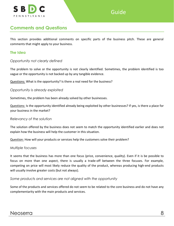

## <span id="page-7-0"></span>**Comments and Questions**

This section provides additional comments on specific parts of the business pitch. These are general comments that might apply to your business.

#### <span id="page-7-1"></span>**The Idea**

#### *Opportunity not clearly defined*

The problem to solve or the opportunity is not clearly identified. Sometimes, the problem identified is too vague or the opportunity is not backed up by any tangible evidence.

Questions: What is the opportunity? Is there a real need for the business?

*Opportunity is already exploited*

Sometimes, the problem has been already solved by other businesses.

Questions: Is the opportunity identified already being exploited by other businesses? If yes, is there a place for your business in the market?

#### *Relevancy of the solution*

The solution offered by the business does not seem to match the opportunity identified earlier and does not explain how the business will help the customer in this situation.

Question: How will your products or services help the customers solve their problem?

#### *Multiple focuses*

It seems that the business has more than one focus (price, convenience, quality). Even if it is be possible to focus on more than one aspect, there is usually a trade-off between the three focuses. For example, competing on price will most likely reduce the quality of the product, whereas producing high-end products will usually involve greater costs (but not always).

*Some products and services are not aligned with the opportunity*

Some of the products and services offered do not seem to be related to the core business and do not have any complementarity with the main products and services.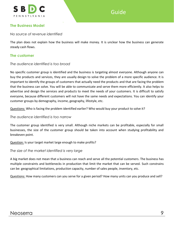

#### <span id="page-8-0"></span>**The Business Model**

*No source of revenue identified*

The plan does not explain how the business will make money. It is unclear how the business can generate steady cash flows.

#### <span id="page-8-1"></span>**The customer**

#### *The audience identified is too broad*

No specific customer group is identified and the business is targeting almost everyone. Although anyone can buy the products and services, they are usually design to solve the problem of a more specific audience. It is important to identify the groups of customers that actually need the products and that are facing the problem that the business can solve. You will be able to communicate and serve them more efficiently. It also helps to advertise and design the services and products to meet the needs of your customers. It is difficult to satisfy everyone, because different customers will not have the same needs and expectations. You can identify your customer groups by demography, income, geography, lifestyle, etc.

Questions: Who is facing the problem identified earlier? Who would buy your product to solve it?

*The audience identified is too narrow*

The customer group identified is very small. Although niche markets can be profitable, especially for small businesses, the size of the customer group should be taken into account when studying profitability and breakeven point.

Question: Is your target market large enough to make profits?

*The size of the market identified is very large*

A big market does not mean that a business can reach and serve all the potential customers. The business has multiple constraints and bottlenecks in production that limit the market that can be served. Such constrains can be: geographical limitations, production capacity, number of sales people, inventory, etc.

Questions: How many customers can you serve for a given period? How many units can you produce and sell?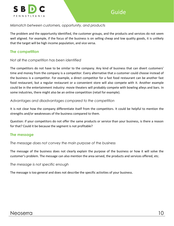

#### *Mismatch between customers, opportunity, and products*

The problem and the opportunity identified, the customer groups, and the products and services do not seem well aligned. For example, if the focus of the business is on selling cheap and low quality goods, it is unlikely that the target will be high income population, and vice versa.

#### <span id="page-9-0"></span>**The competition**

#### *Not all the competition has been identified*

The competitors do not have to be similar to the company. Any kind of business that can divert customers' time and money from the company is a competitor. Every alternative that a customer could choose instead of the business is a competitor. For example, a direct competitor for a fast food restaurant can be another fast food restaurant, but a regular restaurant or a convenient store will also compete with it. Another example could be in the entertainment industry: movie theaters will probably compete with bowling alleys and bars. In some industries, there might also be an online competition (retail for example).

#### *Advantages and disadvantages compared to the competition*

It is not clear how the company differentiate itself from the competitors. It could be helpful to mention the strengths and/or weaknesses of the business compared to them.

Question: if your competitors do not offer the same products or service than your business, is there a reason for that? Could it be because the segment is not profitable?

#### <span id="page-9-1"></span>**The message**

*The message does not convey the main purpose of the business*

The message of the business does not clearly explain the purpose of the business or how it will solve the customer's problem. The message can also mention the area served, the products and services offered, etc.

*The message is not specific enough*

The message is too general and does not describe the specific activities of your business.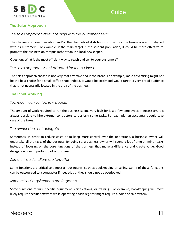

#### <span id="page-10-0"></span>**The Sales Approach**

*The sales approach does not align with the customer needs*

The channels of communication and/or the channels of distribution chosen for the business are not aligned with its customers. For example, if the main target is the student population, it could be more effective to promote the business on campus rather than in a local newspaper.

Question: What is the most efficient way to reach and sell to your customers?

#### *The sales approach is not adapted for the business*

The sales approach chosen is not very cost effective and is too broad. For example, radio advertising might not be the best choice for a small coffee shop. Indeed, it would be costly and would target a very broad audience that is not necessarily located in the area of the business.

#### <span id="page-10-1"></span>**The Inner Working**

#### *Too much work for too few people*

The amount of work required to run the business seems very high for just a few employees. If necessary, it is always possible to hire external contractors to perform some tasks. For example, an accountant could take care of the taxes.

#### *The owner does not delegate*

Sometimes, in order to reduce costs or to keep more control over the operations, a business owner will undertake all the tasks of the business. By doing so, a business owner will spend a lot of time on minor tasks instead of focusing on the core functions of the business that make a difference and create value. Good delegation is an important part of business.

#### *Some critical functions are forgotten*

Some functions are critical to almost all businesses, such as bookkeeping or selling. Some of these functions can be outsourced to a contractor if needed, but they should not be overlooked.

#### *Some critical requirements are forgotten*

Some functions require specific equipment, certifications, or training. For example, bookkeeping will most likely require specific software while operating a cash register might require a point-of-sale system.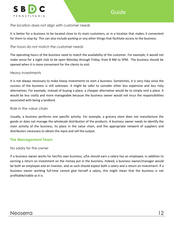

#### *The location does not align with customer needs*

It is better for a business to be located close to its main customers, or in a location that makes it convenient for them to stop by. This can also include parking or any other things that facilitate access to the business.

#### *The hours do not match the customer needs*

The operating hours of the business need to match the availability of the customer. For example, it would not make sense for a night club to be open Monday through Friday, from 8 AM to 5PM. The business should be opened when it is more convenient for the clients to visit.

#### *Heavy investments*

It is not always necessary to make heavy investments to start a business. Sometimes, it is very risky since the success of the business is still unknown. It might be safer to consider other less expensive and less risky alternatives. For example, instead of buying a place, a cheaper alternative would be to simply rent a place. It would be less costly and more manageable because the business owner would not incur the responsibilities associated with being a landlord.

#### *Role in the value chain*

Usually, a business performs one specific activity. For example, a grocery store does not manufacture the goods or does not manage the wholesale distribution of the products. A business owner needs to identify the main activity of the business, its place in the value chain, and the appropriate network of suppliers and distributors necessary to obtain the input and sell the output.

#### <span id="page-11-0"></span>**The Management Team**

#### *No salary for the owner*

If a business owner works for her/his own business, s/he should earn a salary has an employee, in addition to earning a return on investment on the money put in the business. Indeed, a business owner/manager would be both an employee and an investor, and as such should expect both a salary and a return on investment. If a business owner working full-time cannot give herself a salary, this might mean that the business is not profitable/viable as it is.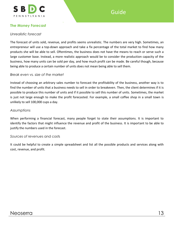

#### <span id="page-12-0"></span>**The Money Forecast**

#### *Unrealistic forecast*

The forecast of units sold, revenue, and profits seems unrealistic. The numbers are very high. Sometimes, an entrepreneur will use a top-down approach and take a fix percentage of the total market to find how many products she will be able to sell. Oftentimes, the business does not have the means to reach or serve such a large customer base. Instead, a more realistic approach would be to consider the production capacity of the business, how many units can be sold per day, and how much profit can be made. Be careful though, because being able to produce a certain number of units does not mean being able to sell them.

#### *Break even vs. size of the market*

Instead of choosing an arbitrary sales number to forecast the profitability of the business, another way is to find the number of units that a business needs to sell in order to breakeven. Then, the client determines if it is possible to produce this number of units and if it possible to sell this number of units. Sometimes, the market is just not large enough to make the profit forecasted. For example, a small coffee shop in a small town is unlikely to sell 100,000 cups a day.

#### *Assumptions*

When performing a financial forecast, many people forget to state their assumptions. It is important to identify the factors that might influence the revenue and profit of the business. It is important to be able to justify the numbers used in the forecast.

#### *Sources of revenue*s and costs

It could be helpful to create a simple spreadsheet and list all the possible products and services along with cost, revenue, and profit.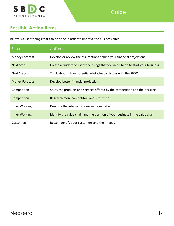

## <span id="page-13-0"></span>**Possible Action Items**

Below is a list of things that can be done in order to improve the business pitch.

| Focus                 | <b>Action</b>                                                                     |  |  |
|-----------------------|-----------------------------------------------------------------------------------|--|--|
| Money Forecast        | Develop or review the assumptions behind your financial projections               |  |  |
| <b>Next Steps</b>     | Create a quick todo list of the things that you need to do to start your business |  |  |
| <b>Next Steps</b>     | Think about future potential obstacles to discuss with the SBDC                   |  |  |
| <b>Money Forecast</b> | Develop better financial projections                                              |  |  |
| Competition           | Study the products and services offered by the competition and their pricing      |  |  |
| Competition           | Research more competitors and substitutes                                         |  |  |
| Inner Working         | Describe the internal process in more detail                                      |  |  |
| Inner Working         | Identify the value chain and the position of your business in the value chain     |  |  |
| Customers             | Better identify your customers and their needs                                    |  |  |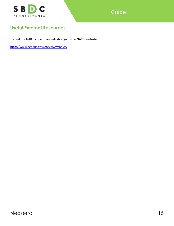

Guide

## <span id="page-14-0"></span>**Useful External Resources**

To find the NAICS code of an industry, go to the NAICS website:

<http://www.census.gov/eos/www/naics/>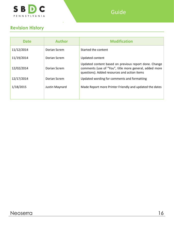

## <span id="page-15-0"></span>**Revision History**

| <b>Date</b> | <b>Author</b>  | <b>Modification</b>                                                                                                                                             |
|-------------|----------------|-----------------------------------------------------------------------------------------------------------------------------------------------------------------|
| 11/12/2014  | Dorian Screm   | Started the content                                                                                                                                             |
| 11/19/2014  | Dorian Screm   | Updated content                                                                                                                                                 |
| 12/02/2014  | Dorian Screm   | Updated content based on previous report done. Change<br>comments (use of "You", title more general, added more<br>questions). Added resources and action items |
| 12/17/2014  | Dorian Screm   | Updated wording for comments and formatting                                                                                                                     |
| 1/18/2015   | Justin Maynard | Made Report more Printer Friendly and updated the dates                                                                                                         |